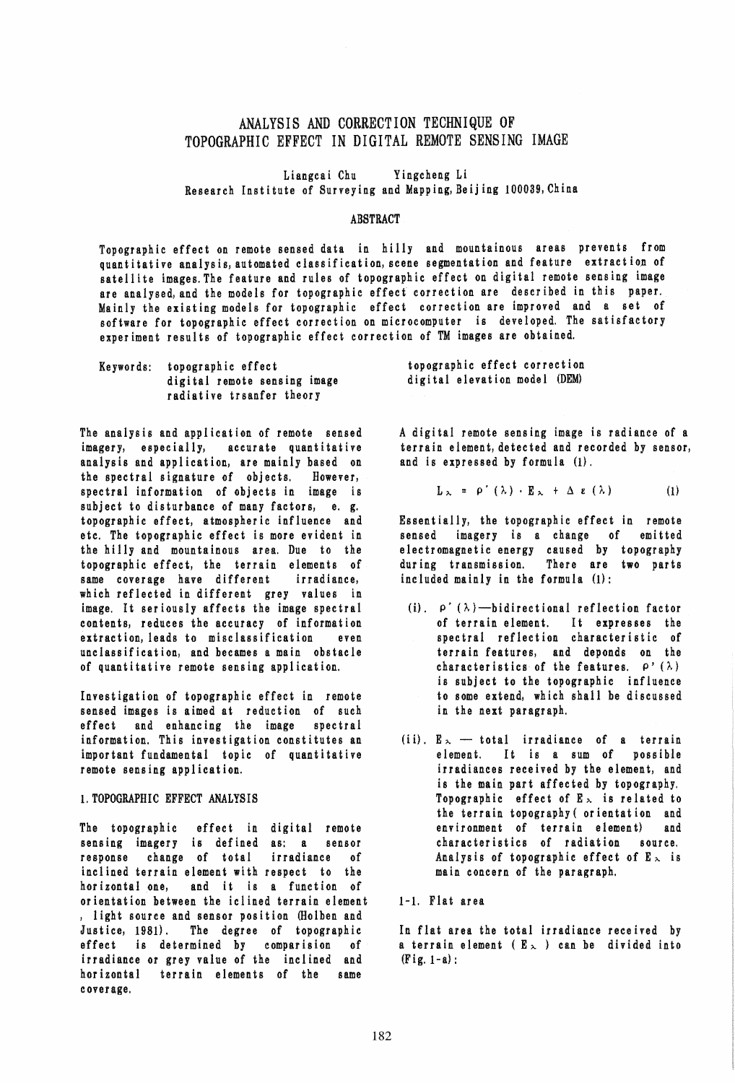# ANALYSIS AND CORRECTION TECHNIQUE OF TOPOGRAPHIC EFFECT IN DIGITAL REMOTE SENSING IMAGE

Liangcai Chu Yingcheng Li Research Institute of Surveying and Mapping,Beijing 100039, China

### ABSTRACT

Topographic effect on remote sensed data in hilly and mountainous areas prevents from quantitative analysis, automated classification, scene segmentation and feature extract ion of satellite images. The feature and rules of topographic effect on digital remote sensing image are analysed, and the models for topographic effect correction are described in this paper. Mainly the existing models for topographic effect correction are improved and a set of software for topographic effect correction on microcomputer is developed. The satisfactory experiment results of topographic effect correction of TM images are obtained.

| Keywords: topographic effect |
|------------------------------|
| digital remote sensing image |
| radiative trsanfer theory    |

The analysis and application of remote sensed imagery, especially, accurate quantitative analysis and application, are mainly based on the spectral signature of objects. However, spectral information of objects in image is subject to disturbance of many factors, e. g. topographic effect, atmospheric influence and etc. The topographic effect is more evident in the hilly and mountainous area. Due to the topographic effect, the terrain elements of same coverage have different irradiance, which reflected in different grey values in image. It seriously affects the image spectral contents, reduces the accuracy of information extraction, leads to misclassification even unclassification, and becames a main obstacle of quantitative remote sensing application.

Investigation of topographic effect in remote sensed images is aimed at reduction of such effect and enhancing the image spectral information. This investigation constitutes an important fundamental topic of quantitative remote sensing application.

### 1. TOPOGRAPHIC EFFECT ANALYSIS

The topographic effect in digital remote sensing imagery is defined as: a sensor response change of total irradiance of inclined terrain element with respect to the horizontal one, and it is a function of orientation between the iclined terrain element , light source and sensor position (Holben and Just ice, 1981). The degree of topographic effect is determined by comparision of irradiance or grey value of the inclined and horizontal terrain elements of the same c over age.

topographic effect correction digital elevation model (DEM)

A digital remote sensing image is radiance of a terrain element, detected and recorded by sensor, and is expressed by formula  $(1)$ .

$$
L_{\lambda} = \rho'(\lambda) \cdot E_{\lambda} + \Delta \epsilon (\lambda) \qquad (1)
$$

Essentially, the topographic effect in remote sensed imagery is a change of emitted electromagnetic energy caused by topography during transmission. There are two parts included mainly in the formula (1):

- (i).  $\rho'(\lambda)$ -bidirectional reflection factor of terrain element. It expresses the spectral reflection characteristic of terrain features, and deponds on the characteristics of the features.  $\rho'(\lambda)$ is subject to the topographic influence to some extend, which shall be discussed in the next paragraph.
- (ii).  $E_{\lambda}$  total irradiance of a terrain element. It is a sum of possible irradiances received by the element, and is the main part affected by topography. Topographic effect of  $E_{\infty}$  is related to the terrain topography ( orientation and environment of terrain element} and characteristics of radiation source. Analysis of topographic effect of  $E_{\infty}$  is main concern of the paragraph.

1-1. Flat area

In flat area the total irradiance received by a terrain element ( $E_{\lambda}$ ) can be divided into  $(Fig. 1-a)$ :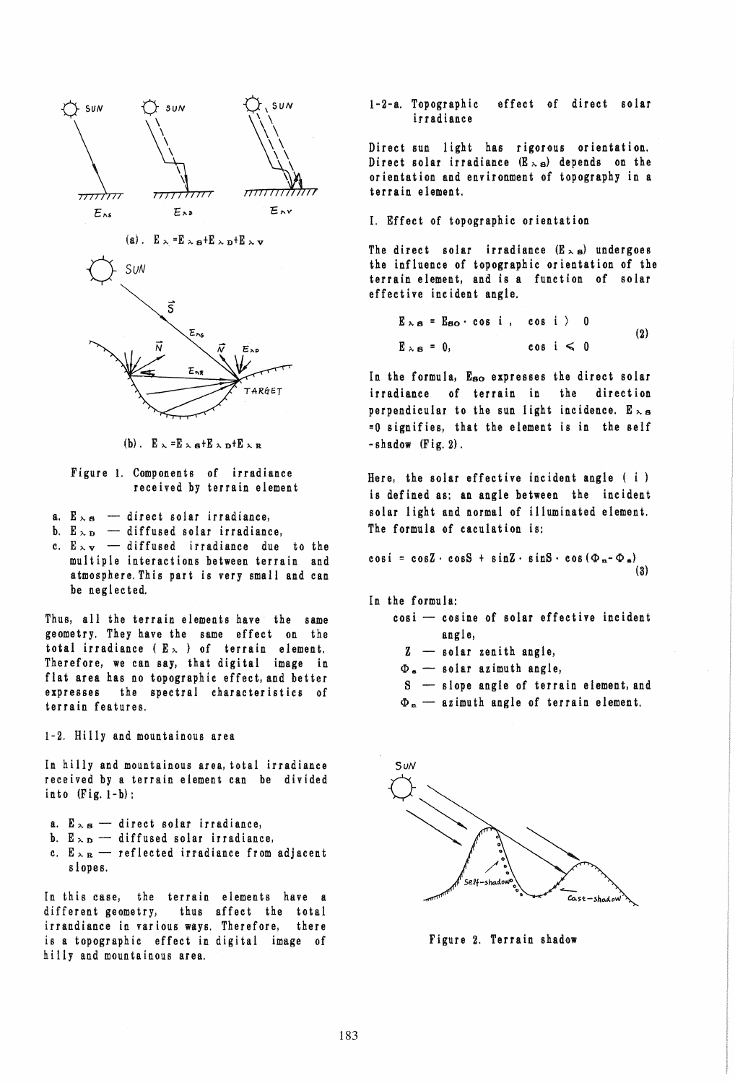



(b).  $E \sim E \sim a+E \sim b+E \sim R$ 

### Figure 1. Components of irradiance received by terrain element

- a.  $E_{\lambda S}$  direct solar irradiance,
- b.  $E_{\lambda D}$  diffused solar irradiance,
- c.  $E_{\lambda V}$  diffused irradiance due to the multiple interactions between terrain and atmosphere. This part is very small and can be neglected.

Thus, all the terrain elements have the same geometry. They have the same effect on the total irradiance ( $E_{\infty}$ ) of terrain element. Therefore, we can say, that digital image in flat area has no topographic effect, and better expresses the spectral characteristics of terrain features.

1-2. Hilly and mountainous area

In hilly and mountainous area, total irradiance received by a terrain element can be divided into (Fig. I-b):

- a.  $E_{\lambda S}$  direct solar irradiance,
- b.  $E_{\lambda D}$  diffused solar irradiance,
- c.  $E_{\lambda R}$  reflected irradiance from adjacent slopes.

In this case, the terrain elements have a different geometry, thus affect the total irrandiance in various ways. Therefore, there is a topographic effect in digital image of hilly and mountainous area.

### 1-2-a. Topographic effect of direct solar irradiance

Direct sun light has rigorous orientation. Direct solar irradiance  $(E_{\lambda, S})$  depends on the orientation and environment of topography in a terrain element.

1. Effect of topographic orientation

The direct solar irradiance  $(E_{\lambda S})$  undergoes the influence of topographic orientation of the terrain element, and is a function of solar effective incident angle.

$$
E_{\lambda s} = E_{so} \cdot \cos i , \quad \cos i > 0
$$
  

$$
E_{\lambda s} = 0, \qquad \cos i < 0
$$
 (2)

In the formula, Eso expresses the direct solar irradiance of terrain in the direction perpendicular to the sun light incidence.  $E_{\lambda S}$ =0 signifies, that the element is in the self  $-$ shadow  $(Fig, 2)$ .

Here, the solar effective incident angle ( i ) is defined as: an angle between the incident solar light and normal of illuminated element. The formula of caculation is:

$$
\cos i = \cos Z \cdot \cos S + \sin Z \cdot \sin S \cdot \cos (\Phi_n - \Phi_n)
$$
\n(3)

In the formula:

- $cos i cos i$  cosine of solar effective incident angle,
	- $z$  solar zenith angle,
	- $\Phi_{\rm e}$  solar azimuth angle,
	- S slope angle of terrain element, and
	- $\Phi_n$  azimuth angle of terrain element.



Figure 2. Terrain shadow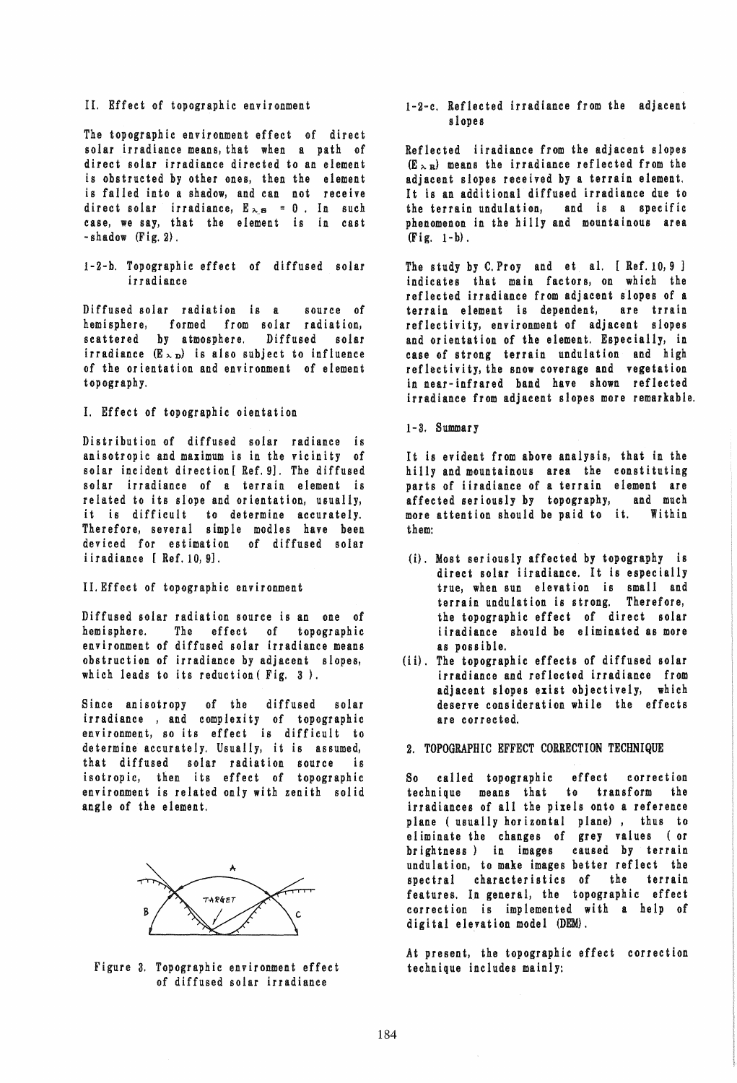### II. Effect of topographic environment

The topographic environment effect of direct solar irradiance means, that when a path of direct solar irradiance directed to an element is obstructed by other ones, then the element is faIled into a shadow, and can not receive direct solar irradiance,  $E_{\lambda,8} = 0$ . In such case, we say, that the element is in cast  $-$ shadow  $(Fig. 2)$ .

1-2-b. Topographic effect of diffused solar irradiance

Diffused solar radiation is a source of hemisphere, formed from solar radiation, scattered by atmosphere. Diffused solar irradiance  $(E \times_D)$  is also subject to influence of the orientation and environment of element topography.

### I. Effect of topographic oientation

Distribution of diffused solar radiance is anisotropic and maximum is in the vicinity of solar incident direction [ Ref. 9]. The diffused solar irradiance of a terrain element is related to its slope and orientation, usually, it is difficult to determine accurately. Therefore, several simple modles have been deviced for estimation of diffused solar iiradiance [ Ref. 10, 9].

#### II. Effect of topographic environment

Diffused solar radiation source is an one of hemisphere. The effect of topographic environment of diffused solar irradiance means obstruction of irradiance by adjacent slopes, which leads to its reduction (Fig. 3).

Since anisotropy of the diffused solar irradiance, and complexity of topographic environment, so its effect is difficult to determine accurately. Usually, it is assumed, that diffused solar radiation source is isotropic, then its effect of topographic environment is related only with zenith solid angle of the element.



Figure 3. Topographic environment effect of diffused solar irradiance

### 1-2-c. Reflected irradiance from the adjacent slopes

Reflected iiradiance from the adjacent slopes  $(E_{\,\lambda,B})$  means the irradiance reflected from the adjacent slopes received by a terrain element. It is an additional diffused irradiance due to the terrain undulation, phenomenon in the hilly and mountainous area  $(Fig. 1-b).$ 

The study by C. Proy and et al. [ Ref. 10, 9 ] indicates that main factors, on which the reflected irradiance from adjacent slopes of a terrain element is dependent, are trrain reflectivity, environment of adjacent slopes and orientation of the element. Especially, in case of strong terrain undulation and high reflectivity, the snow coverage and vegetation in near-infrared band have shown reflected irradiance from adjacent slopes more remarkable.

## 1-3. Summary

It is evident from above analysis, that in the hilly and mountainous area the constituting parts of iiradiance of a terrain element are<br>affected seriously by topography. and much affected seriously by topography, more attention should be paid to it. Within them:

- (i), Most seriously affected by topography is direct solar iiradiance. It is especially true, when sun elevation is small and terrain undulation is strong. Therefore, the topographic effect of direct solar iiradiance should be eliminated as more as poss ible.
- (ii). The topographic effects of diffused solar irradiance and reflected irradiance from adjacent slopes exist objectively, which deserve consideration while the effects are con ec ted.

### 2. TOPOGRAPHIC EFFECT CORRECTION TECHNIQUE

So called topographic effect correction technique means that to transform the irradiances of all the pixels onto a reference plane ( usually horizontal plane), thus to eliminate the changes of grey values (or brightness) in images caused by terrain undulation, to make images better reflect the spectral characteristics of the terrain features. In general, the topographic effect correction is implemented with a help of digital elevation model (DEM).

At present, the topographic effect correction technique includes mainly: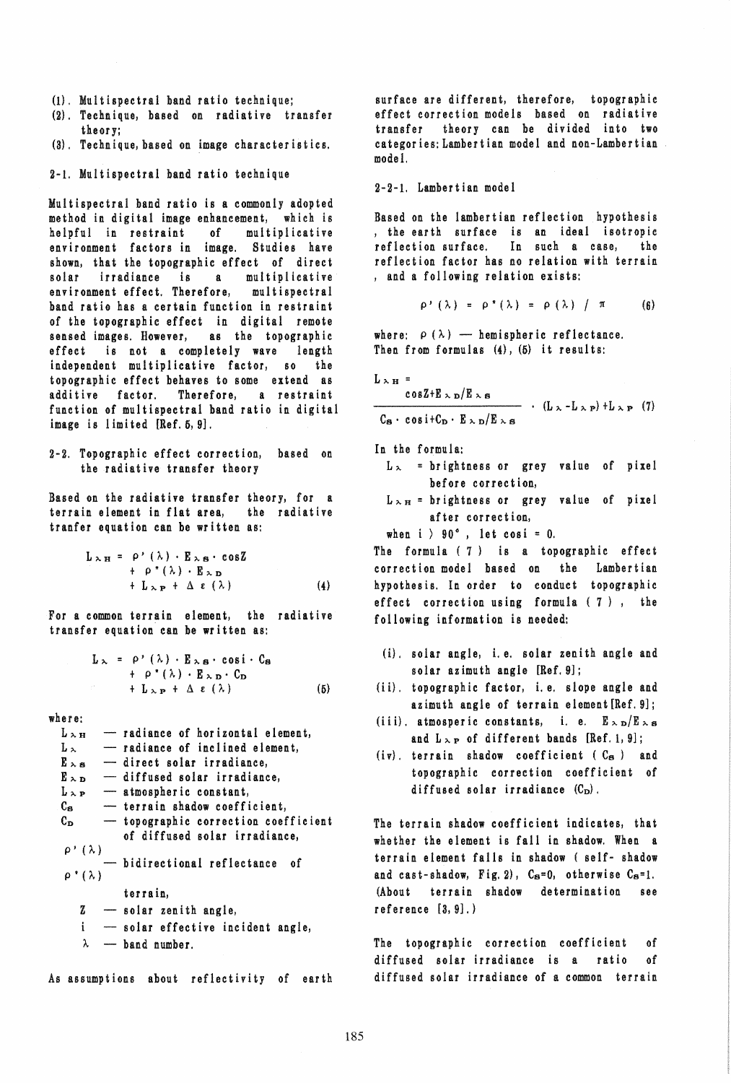- (1). Multispectral band ratio technique;
- (2), Technique, based on radiative transfer theor y;
- (3), Technique, based on image characteristics.

2-i. Multispectral band ratio technique

Multispectral band ratio is a commonly adopted method in digital image enhancement, which is helpful in restraint of environment factors in image. Studies have shown, that the topographic effect of direct solar irradiance is a multiplicative environment effect. Therefore, multispectral band ratio has a certain function in restraint of the topographic effect in digital remote sensed images. However, as the topographic effect is not a completely wave length independent multiplicative factor, so the topographic effect behaves to some extend as additive factor. Therefore, a restraint function of multispectral band ratio in digital image is limited [Ref. 5, 9].

2-2. Topographic effect correction, based on the radiative transfer theory

Based on the radiative transfer theory, for a terrain element in flat area, the radiative tranfer equation can be written as:

$$
L_{\lambda H} = \rho'(\lambda) \cdot E_{\lambda B} \cdot \cos Z + \rho''(\lambda) \cdot E_{\lambda D} + L_{\lambda P} + \Delta \epsilon (\lambda)
$$
 (4)

For a common terrain element, the radiative transfer equation can be written as:

$$
L_{\lambda} = \rho'(\lambda) \cdot E_{\lambda} \cdot \cos i \cdot C_{s}
$$
  
+  $\rho''(\lambda) \cdot E_{\lambda} \cdot C_{s}$   
+  $L_{\lambda} \cdot E_{\lambda} \cdot C_{s}$   
(5)

where:

 $L_{\,\lambda\,\text{H}}$  - radiance of horizontal element,  $L_{\lambda}$  -- radiance of inclined element,  $E_{\lambda, S}$  - direct solar irradiance,  $E_{\lambda D}$  - diffused solar irradiance,  $L_{\lambda P}$  - atmospheric constant,<br> $C_{S}$  - terrain shadow coeffi  $-$  terrain shadow coefficient,  $C_D$  - topographic correction coefficient of diffused solar irradiance,  $\rho$ <sup>*'*</sup> ( $\lambda$ ) - bidirectional reflectance of  $\rho^* (\lambda)$ terrain,  $z$  - solar zenith angle,  $\mathbf{i}$ - solar effective incident angle,  $\lambda$  - band number.

As assumptions about reflectivity of earth

surface are different, therefore, topographic effect correction models based on radiative transfer theory can be divided into two categories: Lambertian model and non-Lambertian mode 1.

2-2-1. Lambertian model

Based on the lambertian reflection hypothesis , the earth surface is an ideal isotropic reflection surface. In such a case, reflection factor has no relation with terrain , and a following relation exists:

$$
\rho'(\lambda) = \rho''(\lambda) = \rho(\lambda) / \pi \qquad (6)
$$

where:  $\rho(\lambda)$  - hemispheric reflectance. Then from formulas  $(4)$ ,  $(5)$  it results:

 $L_{\lambda H}$  =

$$
\frac{\cos Z + E_{\infty} D/E_{\infty} s}{C_{\mathbf{s}} \cdot \cos i + C_{\mathbf{D}} \cdot E_{\infty} D/E_{\infty} s} \cdot (L_{\infty} - L_{\infty} P) + L_{\infty} P \tag{7}
$$

In the formula:

- $L_{\lambda}$  = brightness or grey value of pixel before correction,
- $L_{\lambda H}$  = brightness or grey value of pixel after correction,

when  $i > 90^\circ$ , let cosi = 0.

The formula ( 7) is a topographic effect correction model based on the Lambertian hypothes is. In order to conduct topographic effect correction using formula ( 7 ), the following information is needed:

- (i). solar angle, i.e. solar zenith angle and solar azimuth angie [Ref. 9];
- (ii). topographic factor, i.e. slope angle and azimuth angie of terrain eiement[Ref.9];
- (iii). atmosperic constants, i. e.  $E_{\infty D}/E_{\infty s}$ and  $L_{\gamma P}$  of different bands [Ref. 1, 9];
- $(iv)$ . terrain shadow coefficient  $(C_{\mathbf{S}})$  and topographic correction coefficient of diffused solar irradiance  $(C_D)$ .

The terrain shadow coefficient indicates, that whether the element is fall in shadow. When a terrain element falls in shadow ( self- shadow and cast-shadow, Fig. 2),  $C_S=0$ , otherwise  $C_S=1$ . (About terrain shadow determination see reference [3,9].)

The topographic correction coefficient of diffused solar irradiance is a ratio of diffused solar irradiance of a common terrain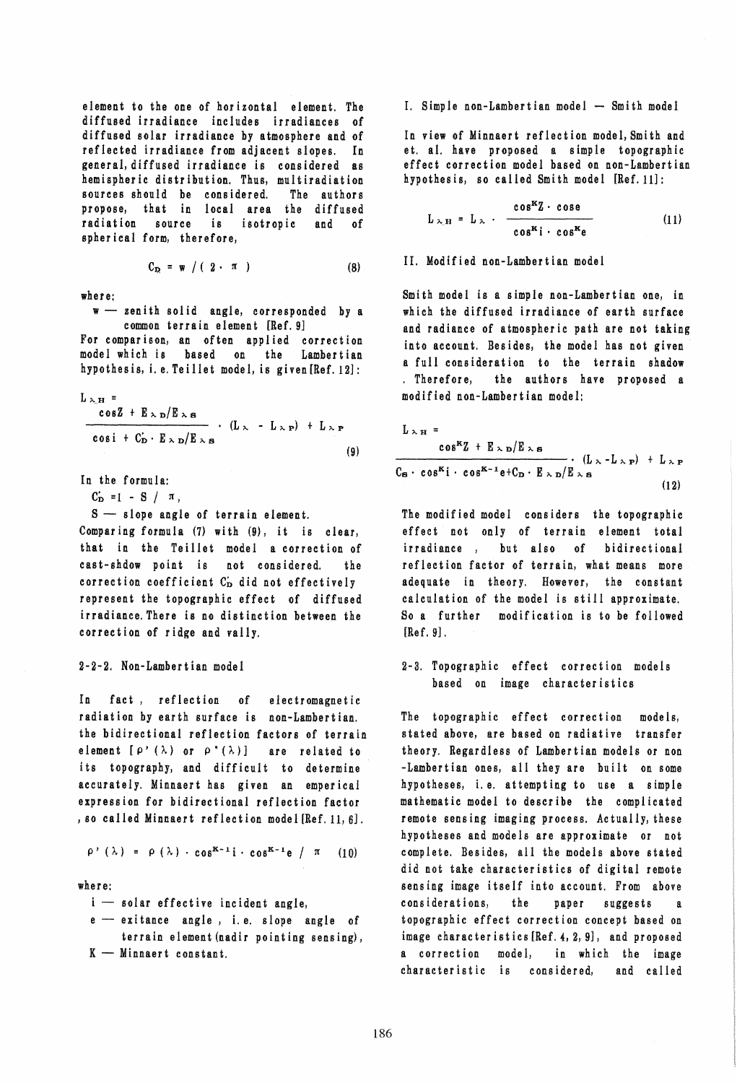element to the one of horizontal element. The diffused irradiance includes irradiances of diffused solar irradiance by atmosphere and of reflected irradiance from adjacent slopes. In general, diffused irradiance is cons idered as hemispheric distribution. Thus, multiradiation sources should be considered. The authors propose, that in local area the diffused radiation source is isotropic and of spher ical form, therefore,

$$
C_{D2} = \mathbf{w} / (2 \cdot \pi)
$$
 (8)

where:

 $w$  - zenith solid angle, corresponded by a common terrain element [Ref. 9]

For comparison, an often applied correction model which is based on the Lambertian hypothes is, i. e. Teillet model, is given [Ref. 12]:

$$
L_{\lambda H} = \frac{\cos Z + E_{\lambda D}/E_{\lambda B}}{\cos i + C_{D} \cdot E_{\lambda D}/E_{\lambda B}} \cdot (L_{\lambda} - L_{\lambda P}) + L_{\lambda P}
$$
\n(9)

In the formula:

 $C'_D = 1 - S / \pi$ ,

 $S$  -- slope angle of terrain element.

Comparing formula  $(7)$  with  $(9)$ , it is clear, that in the Teil1et model a correction of cast-shdow point is not considered. the correction coefficient  $C_D$  did not effectively represent the topographic effect of diffused irradiance.There is no distinction between the correction of ridge and val1y.

### 2-2-2. Non-Lambertian model

In fact, reflection of electromagnetic radiation by earth surface is non-Lambertian. the bidirectional reflection factors of terrain element  $[\rho' (\lambda)$  or  $\rho'' (\lambda)]$  are related to its topography, and difficult to determine accurately. Minnaert has given an emperical expression for bidirectional reflection factor , so called Minnaert reflection model [Ref. 11, 6].

$$
\rho'(\lambda) = \rho(\lambda) \cdot \cos^{K-1} i \cdot \cos^{K-1} e / \pi
$$
 (10)

where:

 $i$  - solar effective incident angle,

e - exitance angle, i.e. slope angle of terrain element (nadir pointing sensing),  $K -$  Minnaert constant.

I. Simple non-Lambertian model -- Smith model

In view of Minnaert reflection model, Smith and et. a1. have proposed a simple topographic effect correction model based on non-Lambertian hypothesis, so called Smith model [Ref. 11]:

$$
L_{\lambda,H} = L_{\lambda} \cdot \frac{\cos^{2}Z \cdot \cos\theta}{\cos^{2}Z \cdot \cos^{2}\theta}
$$
 (11)

II. Modified non-Lambertian model

Smith model is a simple non-Lambertian one, in which the diffused irradiance of earth surface and radiance of atmospheric path are not taking into account. Besides, the model has not given a full consideration to the terrain shadow . Therefore, the authors have proposed a modified non-Lambertian model:

$$
L_{\lambda H} = \frac{\cos^{K}Z + E_{\lambda D}/E_{\lambda B}}{\cos^{K}Z + E_{\lambda D}/E_{\lambda B}} \cdot (L_{\lambda} - L_{\lambda P}) + L_{\lambda P}
$$
  
\n
$$
C_{\mathbf{S}} \cdot \cos^{K}i \cdot \cos^{K-1}e + C_{\mathbf{D}} \cdot E_{\lambda D}/E_{\lambda B}
$$
 (12)

The modified model considers the topographic effect not only of terrain element total irradiance, but also of bidirectional reflection factor of terrain, what means more adequate in theory. However, the constant calculation of the model is still approximate. So a further modification is to be followed [Ref. 9] .

2-3. Topographic effect correction models based on image characteristics

The topographic effect correction models, stated above, are based on radiative transfer theory. Regardless of Lambertian models or non -Lambertian ones, all they are built on some hypotheses, i. e. attempting to use a simple mathematic model to describe the complicated remote sensing imaging process. Actually, these hypotheses and models are approximate or not complete. Besides, all the models above stated did not take characteristics of digital remote sensing image itself into account. From above considerations, the paper suggests a topographic effect correction concept based on image characteristics [Ref. 4, 2, 9], and proposed a correction model, in which the image characteristic is considered, and called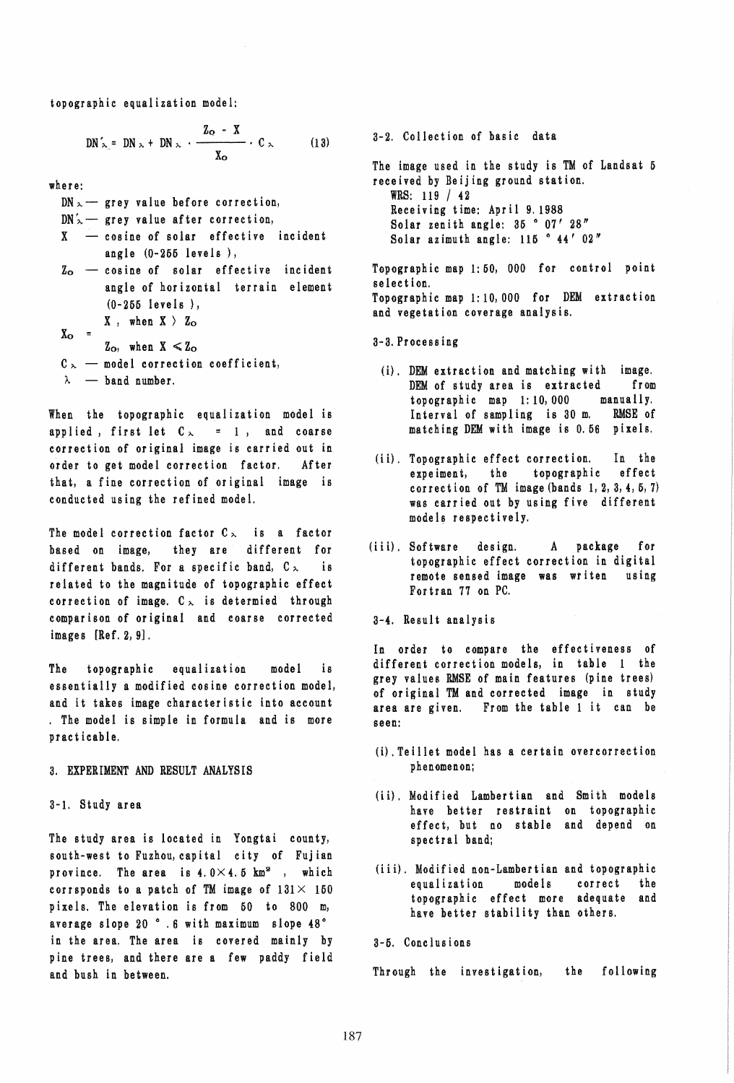topographic equalization model:

$$
DN'_{\sim} = DN_{\sim} + DN_{\sim} \cdot \frac{Z_{\Omega} - X}{X_{\Omega}} \cdot C_{\sim} \qquad (13)
$$

where:

 $DN \sim$  grey value before correction,

- $DN'_{\sim}$  grey value after correction,
- $X \cos i$  ne of solar effective incident angle (0-266 levels ),
- $z_{\rm o}$  cosine of solar effective incident  $X_{\rm o}$  = angle of horizontal terrain element (0-255 levels),  $X$ , when  $X$  )  $Z_{\rm O}$ 
	- $Z_{\rm O}$ , when  $X \leq Z_{\rm O}$
- $C_{\infty}$  model correction coefficient,
- $\lambda$  band number.

When the topographic equalization model is applied, first let  $C_{\infty}$  = 1, and coarse correction of original image is carried out in order to get model correction factor. After that, a fine correction of original image is conducted using the refined model.

The model correction factor  $C_{\infty}$  is a factor based on image, they are different for different bands. For a specific band,  $C_{\infty}$ . related to the magnitude of topographic effect correction of image.  $C_{\infty}$  is determied through comparison of original and coarse corrected images  $[Ref. 2, 9]$ .

The topographic equalization model is essentially a modified cosine correction model, and it takes image characteristic into account . The model is simple in formula and is more practicable.

3. EXPERIMENT AND RESULT ANALYSIS

3-1. Study area

The study area is located in Yongtai county, south-west to Fuzhou, capital city of Fujian province. The area is  $4.0 \times 4.5$  km<sup>2</sup>, which corrsponds to a patch of TM image of  $131 \times 150$ pixels. The elevation is from 60 to 800 m, average slope 20 °.6 with maximum slope 48° in the area. The area is covered mainly by pine trees, and there are a few paddy field and bush in between.

The image used in the study is TM of Landsat 5 received by Beijing ground station. WRS: 119 / 42 Receiving time: April 9.1988 Solar zenith angle: 35 ° 07' 28" Solar azimuth angle:  $115$   $\degree$   $44'$   $02''$ Topographic map 1: 60, 000 for control point selection. Topographic map 1: 10,000 for DEM extraction and vegetation coverage analysis.

3-2. Collection of basic data

- 3-3.Processing
	- (i). DEM extraction and matching with image. DEM of study area is extracted from topographic map 1: 10, 000 manually. Interval of sampling is 30 m. RMSE of matching DEM with image is 0.66 pixels.
- (ii). Topographic effect correction. In the expeiment, the topographic effect correction of TM image (bands 1, 2, 3,4,6, 7) was carried out by using five different models respectively.
- (iii). Software design. A package for topographic effect correction in digital remote sensed image was writen using Fortran 77 on PC.
- 3-4. Result analysis

In order to compare the effectiveness of different correction models, in table 1 the grey values RMSE of main features (pine trees) of original TM and corrected image in study area are given. From the table 1 it can be seen:

- (i},Teillet model has a certain overcorrection phenomenon;
- (ii). Modified Lambertian and Smith models have better restraint on topographic effect, but no stable and depend on spectral band;
- (iii). Modified non-Lambertian and topographic equalization models correct the topographic effect more adequate and have better stability than others.

3-6. Conclusions

Through the investigation, the following